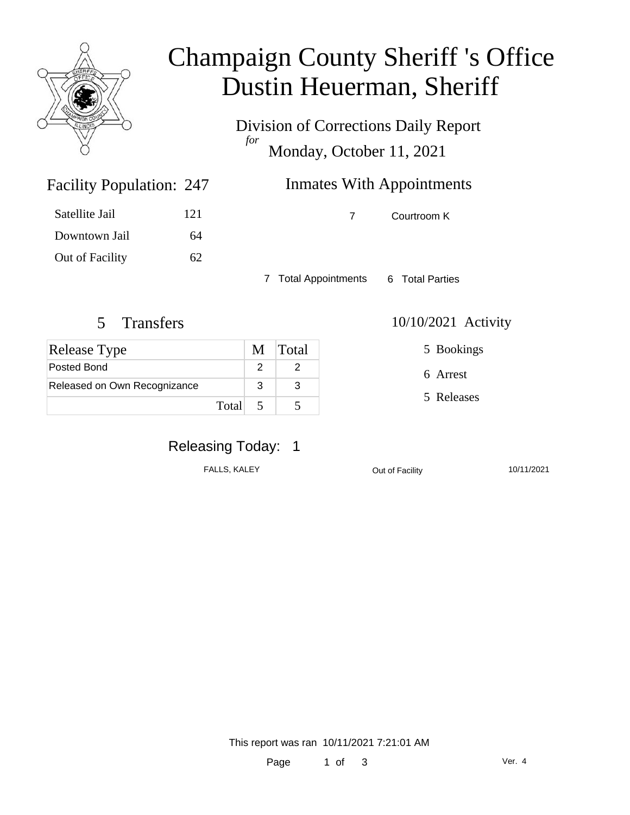

### Champaign County Sheriff 's Office Dustin Heuerman, Sheriff

Division of Corrections Daily Report *for* Monday, October 11, 2021

### Inmates With Appointments

7 Courtroom K

7 Total Appointments 6 Total Parties

Facility Population: 247

Satellite Jail 121

Downtown Jail 64

Out of Facility 62

| Release Type                 |   | M Total |
|------------------------------|---|---------|
| Posted Bond                  |   |         |
| Released on Own Recognizance | 3 |         |
| Total                        |   |         |

5 Transfers 10/10/2021 Activity

5 Bookings

6 Arrest

5 Releases

#### Releasing Today: 1

FALLS, KALEY **COULD COUPLE COUPLE COUPLE CONTRACT CONTRACT ON A 10/11/2021** 

This report was ran 10/11/2021 7:21:01 AM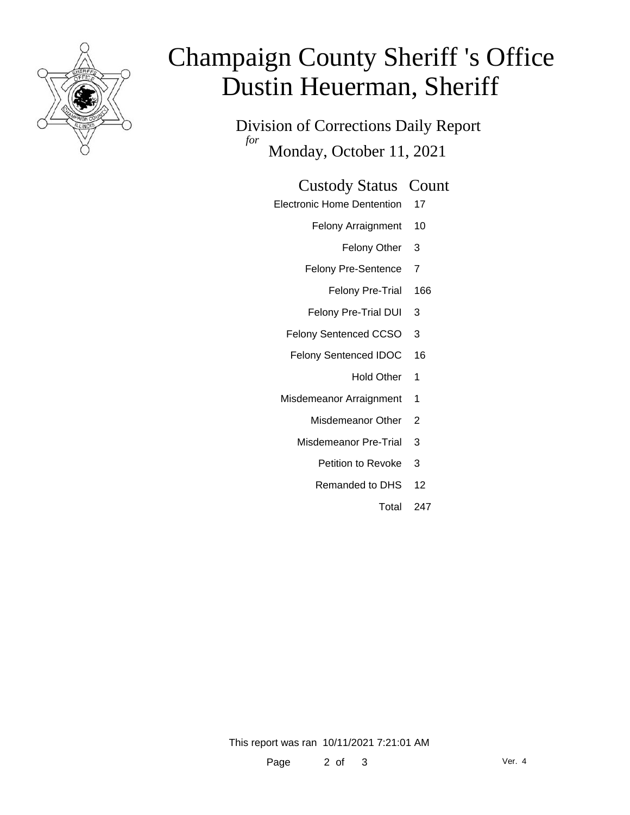

# Champaign County Sheriff 's Office Dustin Heuerman, Sheriff

Division of Corrections Daily Report *for* Monday, October 11, 2021

#### Custody Status Count

- Electronic Home Dentention 17
	- Felony Arraignment 10
		- Felony Other 3
	- Felony Pre-Sentence 7
		- Felony Pre-Trial 166
	- Felony Pre-Trial DUI 3
	- Felony Sentenced CCSO 3
	- Felony Sentenced IDOC 16
		- Hold Other 1
	- Misdemeanor Arraignment 1
		- Misdemeanor Other 2
		- Misdemeanor Pre-Trial 3
			- Petition to Revoke 3
			- Remanded to DHS 12
				- Total 247

This report was ran 10/11/2021 7:21:01 AM